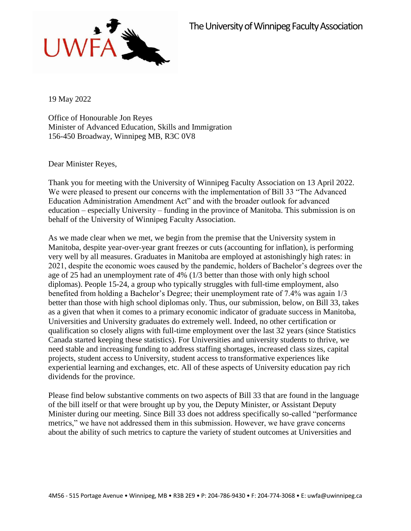

19 May 2022

Office of Honourable Jon Reyes Minister of Advanced Education, Skills and Immigration 156-450 Broadway, Winnipeg MB, R3C 0V8

Dear Minister Reyes,

Thank you for meeting with the University of Winnipeg Faculty Association on 13 April 2022. We were pleased to present our concerns with the implementation of Bill 33 "The Advanced Education Administration Amendment Act" and with the broader outlook for advanced education – especially University – funding in the province of Manitoba. This submission is on behalf of the University of Winnipeg Faculty Association.

As we made clear when we met, we begin from the premise that the University system in Manitoba, despite year-over-year grant freezes or cuts (accounting for inflation), is performing very well by all measures. Graduates in Manitoba are employed at astonishingly high rates: in 2021, despite the economic woes caused by the pandemic, holders of Bachelor's degrees over the age of 25 had an unemployment rate of 4% (1/3 better than those with only high school diplomas). People 15-24, a group who typically struggles with full-time employment, also benefited from holding a Bachelor's Degree; their unemployment rate of 7.4% was again 1/3 better than those with high school diplomas only. Thus, our submission, below, on Bill 33, takes as a given that when it comes to a primary economic indicator of graduate success in Manitoba, Universities and University graduates do extremely well. Indeed, no other certification or qualification so closely aligns with full-time employment over the last 32 years (since Statistics Canada started keeping these statistics). For Universities and university students to thrive, we need stable and increasing funding to address staffing shortages, increased class sizes, capital projects, student access to University, student access to transformative experiences like experiential learning and exchanges, etc. All of these aspects of University education pay rich dividends for the province.

Please find below substantive comments on two aspects of Bill 33 that are found in the language of the bill itself or that were brought up by you, the Deputy Minister, or Assistant Deputy Minister during our meeting. Since Bill 33 does not address specifically so-called "performance metrics," we have not addressed them in this submission. However, we have grave concerns about the ability of such metrics to capture the variety of student outcomes at Universities and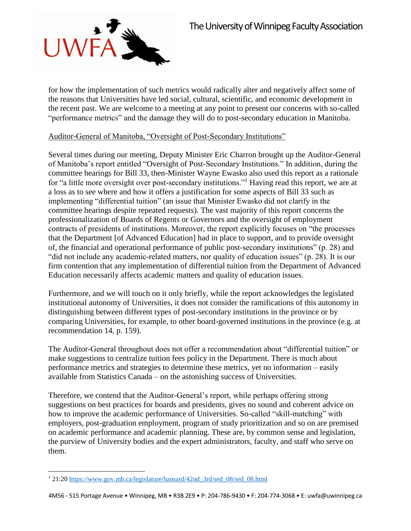

for how the implementation of such metrics would radically alter and negatively affect some of the reasons that Universities have led social, cultural, scientific, and economic development in the recent past. We are welcome to a meeting at any point to present our concerns with so-called "performance metrics" and the damage they will do to post-secondary education in Manitoba.

## Auditor-General of Manitoba, "Oversight of Post-Secondary Institutions"

Several times during our meeting, Deputy Minister Eric Charron brought up the Auditor-General of Manitoba's report entitled "Oversight of Post-Secondary Institutions." In addition, during the committee hearings for Bill 33, then-Minister Wayne Ewasko also used this report as a rationale for "a little more oversight over post-secondary institutions."<sup>1</sup> Having read this report, we are at a loss as to see where and how it offers a justification for some aspects of Bill 33 such as implementing "differential tuition" (an issue that Minister Ewasko did not clarify in the committee hearings despite repeated requests). The vast majority of this report concerns the professionalization of Boards of Regents or Governors and the oversight of employment contracts of presidents of institutions. Moreover, the report explicitly focuses on "the processes that the Department [of Advanced Education] had in place to support, and to provide oversight of, the financial and operational performance of public post-secondary institutions" (p. 28) and "did not include any academic-related matters, nor quality of education issues" (p. 28). It is our firm contention that any implementation of differential tuition from the Department of Advanced Education necessarily affects academic matters and quality of education issues.

Furthermore, and we will touch on it only briefly, while the report acknowledges the legislated institutional autonomy of Universities, it does not consider the ramifications of this autonomy in distinguishing between different types of post-secondary institutions in the province or by comparing Universities, for example, to other board-governed institutions in the province (e.g. at recommendation 14, p. 159).

The Auditor-General throughout does not offer a recommendation about "differential tuition" or make suggestions to centralize tuition fees policy in the Department. There is much about performance metrics and strategies to determine these metrics, yet no information – easily available from Statistics Canada – on the astonishing success of Universities.

Therefore, we contend that the Auditor-General's report, while perhaps offering strong suggestions on best practices for boards and presidents, gives no sound and coherent advice on how to improve the academic performance of Universities. So-called "skill-matching" with employers, post-graduation employment, program of study prioritization and so on are premised on academic performance and academic planning. These are, by common sense and legislation, the purview of University bodies and the expert administrators, faculty, and staff who serve on them.

 $\overline{\phantom{a}}$ <sup>1</sup> 21:20 [https://www.gov.mb.ca/legislature/hansard/42nd\\_3rd/sed\\_08/sed\\_08.html](https://www.gov.mb.ca/legislature/hansard/42nd_3rd/sed_08/sed_08.html)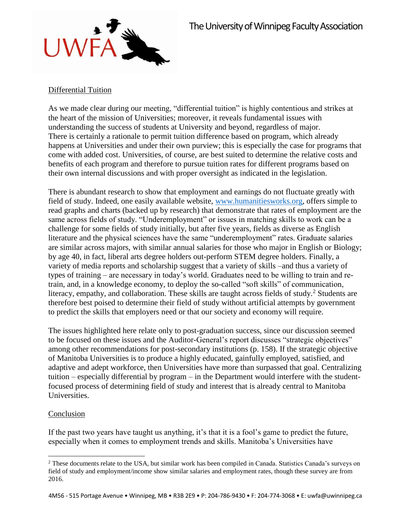

## Differential Tuition

As we made clear during our meeting, "differential tuition" is highly contentious and strikes at the heart of the mission of Universities; moreover, it reveals fundamental issues with understanding the success of students at University and beyond, regardless of major. There is certainly a rationale to permit tuition difference based on program, which already happens at Universities and under their own purview; this is especially the case for programs that come with added cost. Universities, of course, are best suited to determine the relative costs and benefits of each program and therefore to pursue tuition rates for different programs based on their own internal discussions and with proper oversight as indicated in the legislation.

There is abundant research to show that employment and earnings do not fluctuate greatly with field of study. Indeed, one easily available website, [www.humanitiesworks.org,](http://www.humanitiesworks.org/) offers simple to read graphs and charts (backed up by research) that demonstrate that rates of employment are the same across fields of study. "Underemployment" or issues in matching skills to work can be a challenge for some fields of study initially, but after five years, fields as diverse as English literature and the physical sciences have the same "underemployment" rates. Graduate salaries are similar across majors, with similar annual salaries for those who major in English or Biology; by age 40, in fact, liberal arts degree holders out-perform STEM degree holders. Finally, a variety of media reports and scholarship suggest that a variety of skills –and thus a variety of types of training – are necessary in today's world. Graduates need to be willing to train and retrain, and, in a knowledge economy, to deploy the so-called "soft skills" of communication, literacy, empathy, and collaboration. These skills are taught across fields of study.<sup>2</sup> Students are therefore best poised to determine their field of study without artificial attempts by government to predict the skills that employers need or that our society and economy will require.

The issues highlighted here relate only to post-graduation success, since our discussion seemed to be focused on these issues and the Auditor-General's report discusses "strategic objectives" among other recommendations for post-secondary institutions (p. 158). If the strategic objective of Manitoba Universities is to produce a highly educated, gainfully employed, satisfied, and adaptive and adept workforce, then Universities have more than surpassed that goal. Centralizing tuition – especially differential by program – in the Department would interfere with the studentfocused process of determining field of study and interest that is already central to Manitoba Universities.

## Conclusion

If the past two years have taught us anything, it's that it is a fool's game to predict the future, especially when it comes to employment trends and skills. Manitoba's Universities have

 $\overline{\phantom{a}}$ <sup>2</sup> These documents relate to the USA, but similar work has been compiled in Canada. Statistics Canada's surveys on field of study and employment/income show similar salaries and employment rates, though these survey are from 2016.